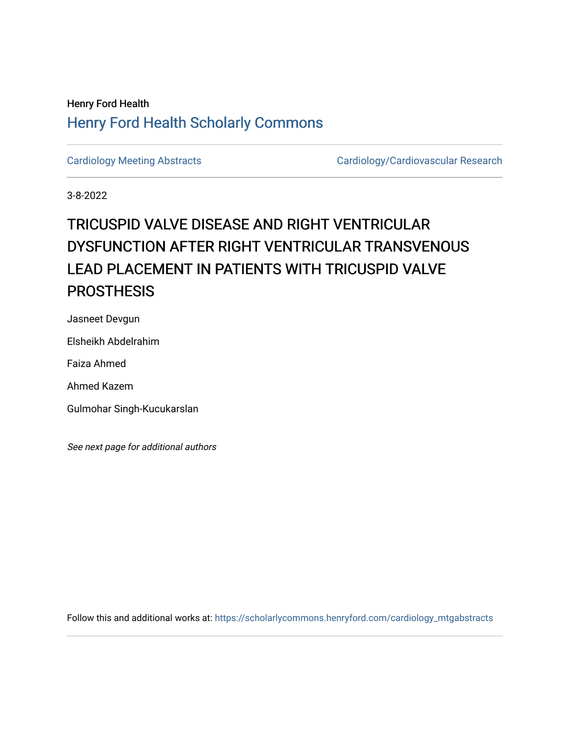## Henry Ford Health [Henry Ford Health Scholarly Commons](https://scholarlycommons.henryford.com/)

[Cardiology Meeting Abstracts](https://scholarlycommons.henryford.com/cardiology_mtgabstracts) Cardiology/Cardiovascular Research

3-8-2022

# TRICUSPID VALVE DISEASE AND RIGHT VENTRICULAR DYSFUNCTION AFTER RIGHT VENTRICULAR TRANSVENOUS LEAD PLACEMENT IN PATIENTS WITH TRICUSPID VALVE **PROSTHESIS**

Jasneet Devgun

Elsheikh Abdelrahim

Faiza Ahmed

Ahmed Kazem

Gulmohar Singh-Kucukarslan

See next page for additional authors

Follow this and additional works at: [https://scholarlycommons.henryford.com/cardiology\\_mtgabstracts](https://scholarlycommons.henryford.com/cardiology_mtgabstracts?utm_source=scholarlycommons.henryford.com%2Fcardiology_mtgabstracts%2F341&utm_medium=PDF&utm_campaign=PDFCoverPages)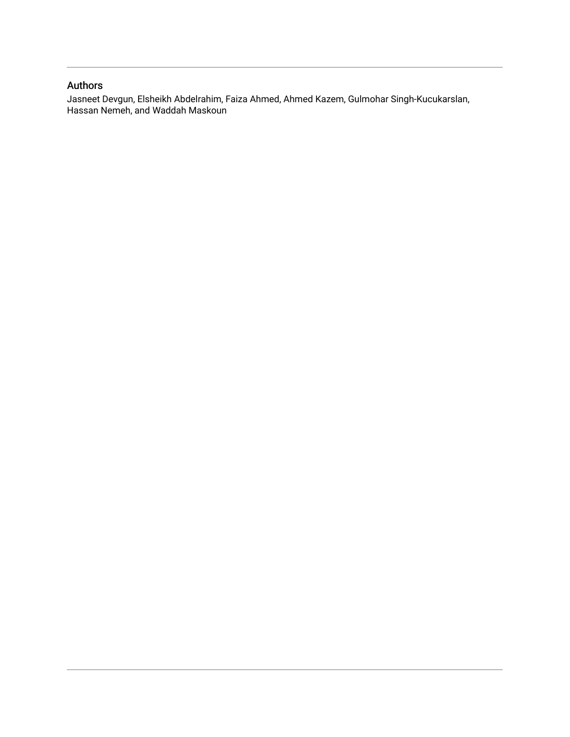### Authors

Jasneet Devgun, Elsheikh Abdelrahim, Faiza Ahmed, Ahmed Kazem, Gulmohar Singh-Kucukarslan, Hassan Nemeh, and Waddah Maskoun